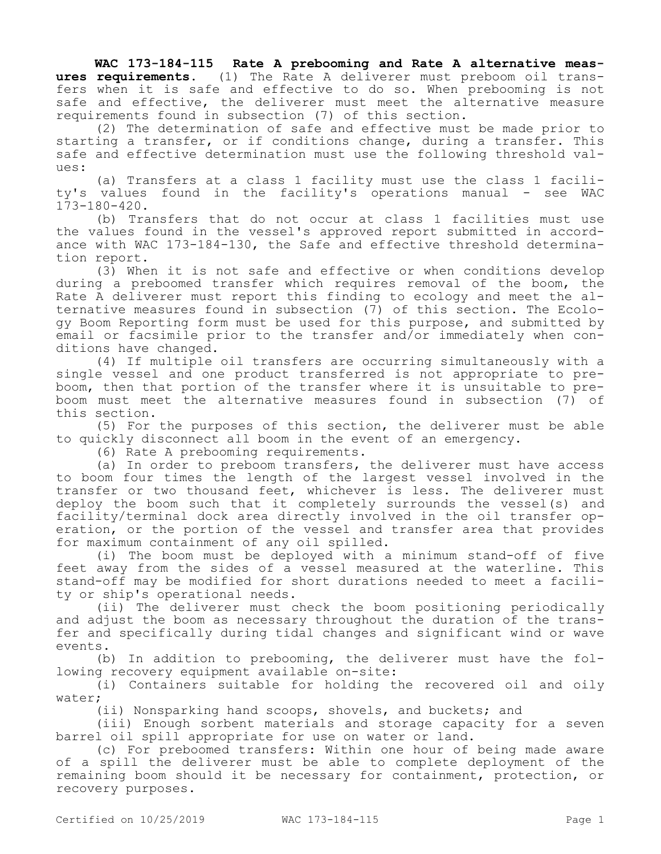**WAC 173-184-115 Rate A prebooming and Rate A alternative measures requirements.** (1) The Rate A deliverer must preboom oil transfers when it is safe and effective to do so. When prebooming is not safe and effective, the deliverer must meet the alternative measure requirements found in subsection (7) of this section.

(2) The determination of safe and effective must be made prior to starting a transfer, or if conditions change, during a transfer. This safe and effective determination must use the following threshold values:

(a) Transfers at a class 1 facility must use the class 1 facility's values found in the facility's operations manual - see WAC 173-180-420.

(b) Transfers that do not occur at class 1 facilities must use the values found in the vessel's approved report submitted in accordance with WAC 173-184-130, the Safe and effective threshold determination report.

(3) When it is not safe and effective or when conditions develop during a preboomed transfer which requires removal of the boom, the Rate A deliverer must report this finding to ecology and meet the alternative measures found in subsection (7) of this section. The Ecology Boom Reporting form must be used for this purpose, and submitted by email or facsimile prior to the transfer and/or immediately when conditions have changed.

(4) If multiple oil transfers are occurring simultaneously with a single vessel and one product transferred is not appropriate to preboom, then that portion of the transfer where it is unsuitable to preboom must meet the alternative measures found in subsection (7) of this section.

(5) For the purposes of this section, the deliverer must be able to quickly disconnect all boom in the event of an emergency.

(6) Rate A prebooming requirements.

(a) In order to preboom transfers, the deliverer must have access to boom four times the length of the largest vessel involved in the transfer or two thousand feet, whichever is less. The deliverer must deploy the boom such that it completely surrounds the vessel(s) and facility/terminal dock area directly involved in the oil transfer operation, or the portion of the vessel and transfer area that provides for maximum containment of any oil spilled.

(i) The boom must be deployed with a minimum stand-off of five feet away from the sides of a vessel measured at the waterline. This stand-off may be modified for short durations needed to meet a facility or ship's operational needs.

(ii) The deliverer must check the boom positioning periodically and adjust the boom as necessary throughout the duration of the transfer and specifically during tidal changes and significant wind or wave events.

(b) In addition to prebooming, the deliverer must have the following recovery equipment available on-site:

(i) Containers suitable for holding the recovered oil and oily water;

(ii) Nonsparking hand scoops, shovels, and buckets; and

(iii) Enough sorbent materials and storage capacity for a seven barrel oil spill appropriate for use on water or land.

(c) For preboomed transfers: Within one hour of being made aware of a spill the deliverer must be able to complete deployment of the remaining boom should it be necessary for containment, protection, or recovery purposes.